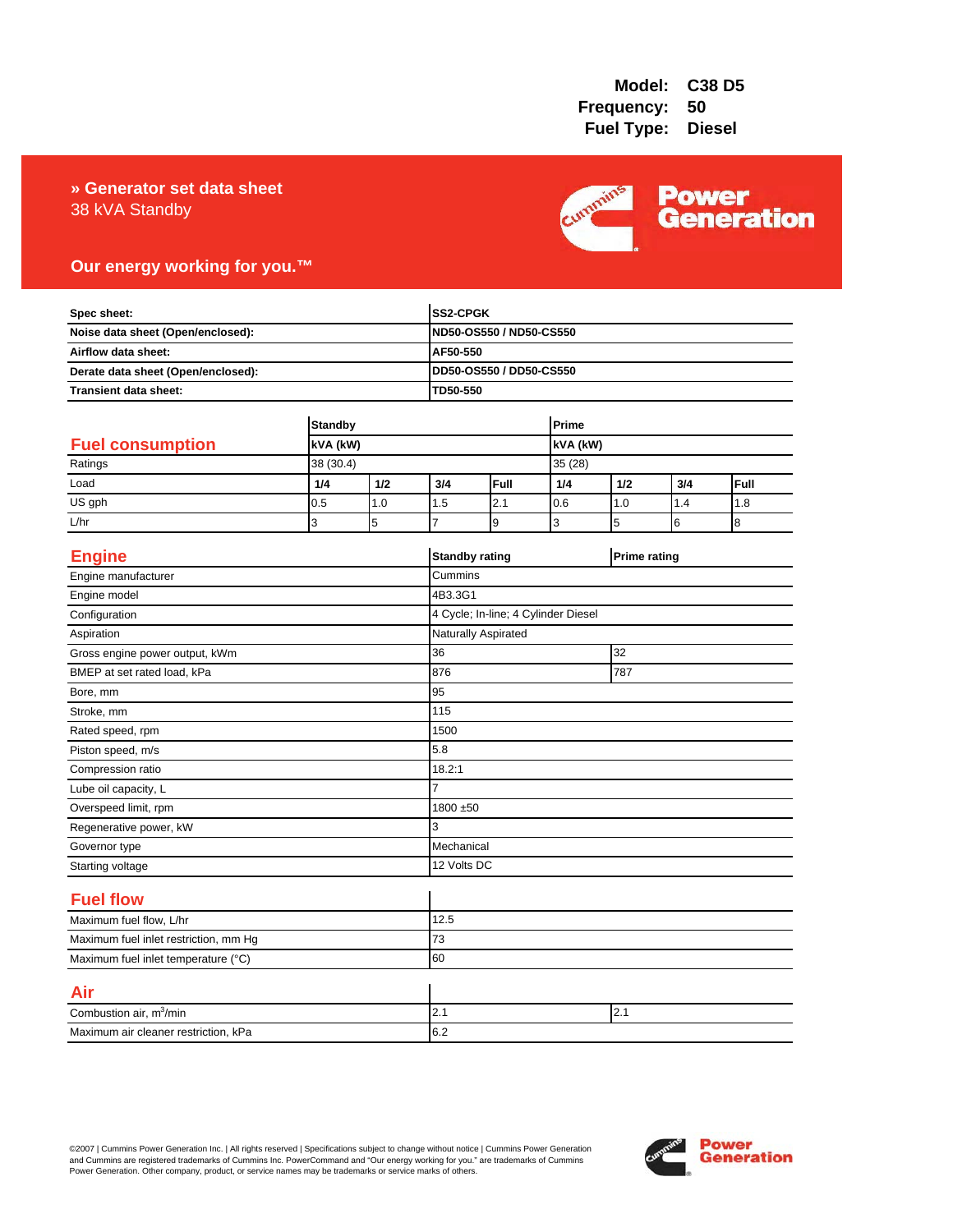## 38 kVA Standby **» Generator set data sheet**



## **Our energy working for you.™**

| Spec sheet:<br>Noise data sheet (Open/enclosed):<br>Airflow data sheet:<br>Derate data sheet (Open/enclosed): |                            |          |                | <b>SS2-CPGK</b><br>ND50-OS550 / ND50-CS550 |                 |     |                     |      |
|---------------------------------------------------------------------------------------------------------------|----------------------------|----------|----------------|--------------------------------------------|-----------------|-----|---------------------|------|
|                                                                                                               |                            |          |                |                                            |                 |     |                     |      |
|                                                                                                               |                            |          | AF50-550       |                                            |                 |     |                     |      |
|                                                                                                               |                            |          |                | DD50-OS550 / DD50-CS550                    |                 |     |                     |      |
| Transient data sheet:                                                                                         |                            | TD50-550 |                |                                            |                 |     |                     |      |
|                                                                                                               | <b>Standby</b><br>kVA (kW) |          |                | Prime                                      |                 |     |                     |      |
| <b>Fuel consumption</b>                                                                                       |                            |          |                |                                            | <b>KVA</b> (kW) |     |                     |      |
| Ratings                                                                                                       | 38 (30.4)                  |          |                |                                            | 35 (28)         |     |                     |      |
| Load                                                                                                          | 1/4                        | 1/2      | 3/4            | Full                                       | 1/4             | 1/2 | 3/4                 | Full |
| US gph                                                                                                        | 0.5                        | 1.0      | 1.5            | 2.1                                        | 0.6             | 1.0 | 1.4                 | 1.8  |
| L/hr                                                                                                          | 3                          | 5        | $\overline{7}$ | 9                                          | 3               | 5   | 6                   | 8    |
| <b>Engine</b>                                                                                                 |                            |          |                | <b>Standby rating</b>                      |                 |     | <b>Prime rating</b> |      |
| Engine manufacturer                                                                                           |                            |          | Cummins        |                                            |                 |     |                     |      |
| Engine model                                                                                                  |                            |          | 4B3.3G1        |                                            |                 |     |                     |      |
| Configuration                                                                                                 |                            |          |                | 4 Cycle; In-line; 4 Cylinder Diesel        |                 |     |                     |      |
| Aspiration                                                                                                    |                            |          |                | Naturally Aspirated                        |                 |     |                     |      |
| Gross engine power output, kWm                                                                                |                            |          | 36             | 32                                         |                 |     |                     |      |
| BMEP at set rated load, kPa                                                                                   |                            |          | 876            | 787                                        |                 |     |                     |      |
| Bore, mm                                                                                                      |                            |          | 95             |                                            |                 |     |                     |      |
| Stroke, mm                                                                                                    |                            |          | 115            |                                            |                 |     |                     |      |
| Rated speed, rpm                                                                                              |                            |          | 1500           |                                            |                 |     |                     |      |
| Piston speed, m/s                                                                                             |                            |          | 5.8            |                                            |                 |     |                     |      |
| Compression ratio                                                                                             |                            |          | 18.2:1         |                                            |                 |     |                     |      |
| Lube oil capacity, L                                                                                          |                            |          | $\overline{7}$ |                                            |                 |     |                     |      |
| Overspeed limit, rpm                                                                                          |                            |          |                | 1800 ±50                                   |                 |     |                     |      |
| Regenerative power, kW                                                                                        |                            |          | 3              |                                            |                 |     |                     |      |
| Governor type                                                                                                 |                            |          |                | Mechanical                                 |                 |     |                     |      |
| Starting voltage                                                                                              |                            |          |                | 12 Volts DC                                |                 |     |                     |      |
| <b>Fuel flow</b>                                                                                              |                            |          |                |                                            |                 |     |                     |      |
| Maximum fuel flow, L/hr                                                                                       |                            |          | 12.5           |                                            |                 |     |                     |      |
| Maximum fuel inlet restriction, mm Hg                                                                         |                            |          | 73             |                                            |                 |     |                     |      |
| Maximum fuel inlet temperature (°C)                                                                           |                            |          | 60             |                                            |                 |     |                     |      |
| Air                                                                                                           |                            |          |                |                                            |                 |     |                     |      |
| Combustion air, m <sup>3</sup> /min                                                                           |                            |          | 2.1            | 2.1                                        |                 |     |                     |      |
| Maximum air cleaner restriction, kPa                                                                          |                            |          | 6.2            |                                            |                 |     |                     |      |

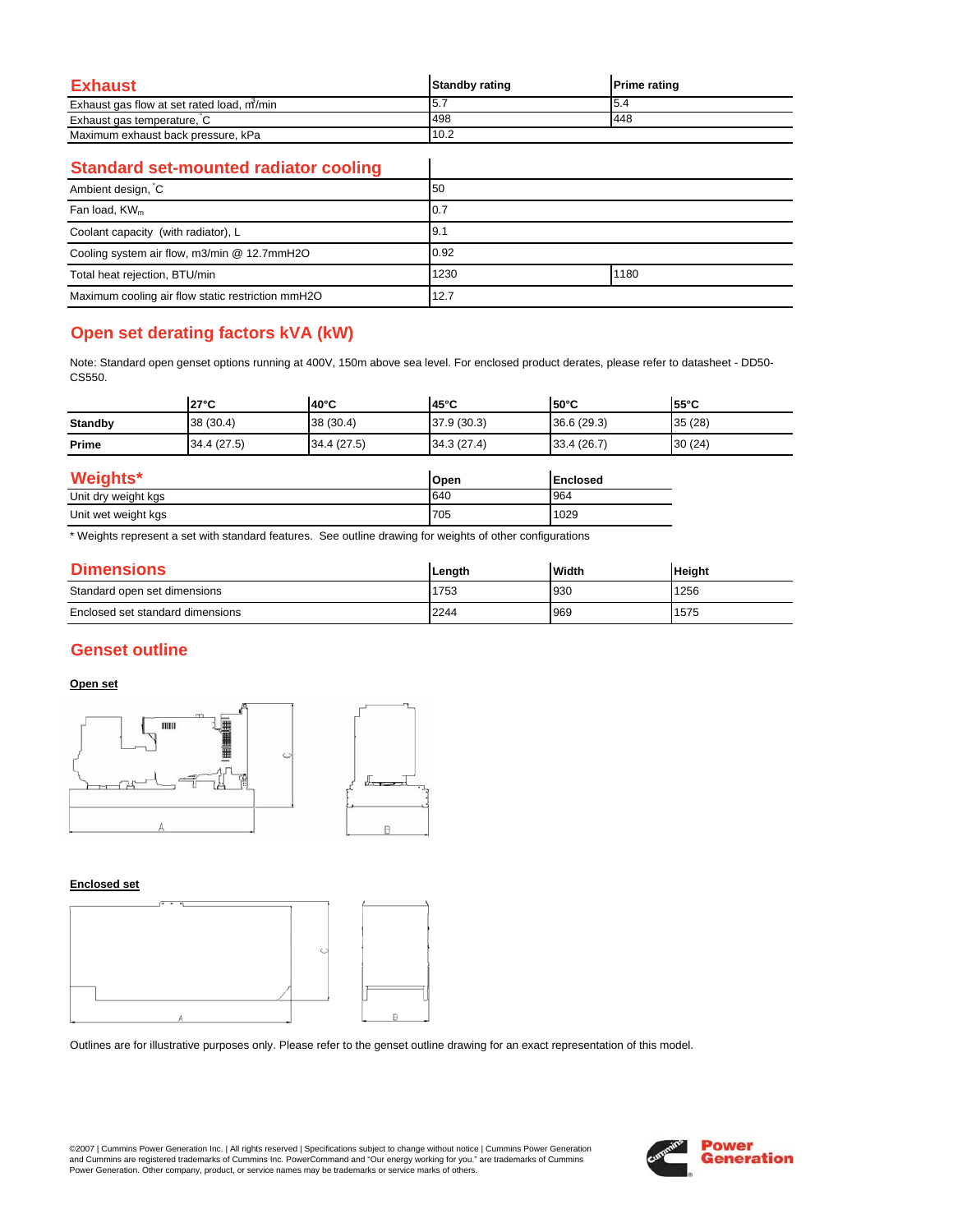| Exhaust                                   | <b>Standby rating</b> | <b>Prime rating</b> |
|-------------------------------------------|-----------------------|---------------------|
| Exhaust gas flow at set rated load, m/min | 5.7                   | I5.4                |
| Exhaust gas temperature, C                | 498                   | 448                 |
| Maximum exhaust back pressure, kPa        | 10.2                  |                     |

 $\overline{\phantom{a}}$ 

### **Standard set-mounted radiator cooling**

| Ambient design, C                                 | 50   |      |
|---------------------------------------------------|------|------|
| Fan load, KW <sub>m</sub>                         | 10.7 |      |
| Coolant capacity (with radiator), L               | 9.1  |      |
| Cooling system air flow, m3/min @ 12.7mmH2O       | 0.92 |      |
| Total heat rejection, BTU/min                     | 1230 | 1180 |
| Maximum cooling air flow static restriction mmH2O | 12.7 |      |

# **Open set derating factors kVA (kW)**

Note: Standard open genset options running at 400V, 150m above sea level. For enclosed product derates, please refer to datasheet - DD50- CS550.

|                     | $27^{\circ}$ C | 40°C        | 45°C        | $150^{\circ}$ C | 55°C   |
|---------------------|----------------|-------------|-------------|-----------------|--------|
| <b>Standby</b>      | 38 (30.4)      | 38 (30.4)   | 37.9(30.3)  | 36.6(29.3)      | 35(28) |
| Prime               | 34.4 (27.5)    | 34.4 (27.5) | 34.3 (27.4) | 33.4 (26.7)     | 30(24) |
| Weights*            |                |             | Open        | <b>Enclosed</b> |        |
| Unit dry weight kgs |                |             | 640         | 964             |        |

| Unit dry weight kgs      | 640 | 964  |
|--------------------------|-----|------|
| Unit wet weight kgs<br>ັ | 705 | 1029 |
|                          |     |      |

\* Weights represent a set with standard features. See outline drawing for weights of other configurations

| <b>Dimensions</b>                | Lenath | <b>Width</b> | <b>Height</b> |
|----------------------------------|--------|--------------|---------------|
| Standard open set dimensions     | 1753   | 930          | 1256          |
| Enclosed set standard dimensions | 2244   | 969          | 1575          |

## **Genset outline**

#### **Open set**



#### **Enclosed set**



Outlines are for illustrative purposes only. Please refer to the genset outline drawing for an exact representation of this model.

©2007 | Cummins Power Generation Inc. | All rights reserved | Specifications subject to change without notice | Cummins Power Generation and Cummins are registered trademarks of Cummins Inc. PowerCommand and "Our energy working for you." are trademarks of Cummins<br>Power Generation. Other company, product, or service names may be trademarks or service marks o